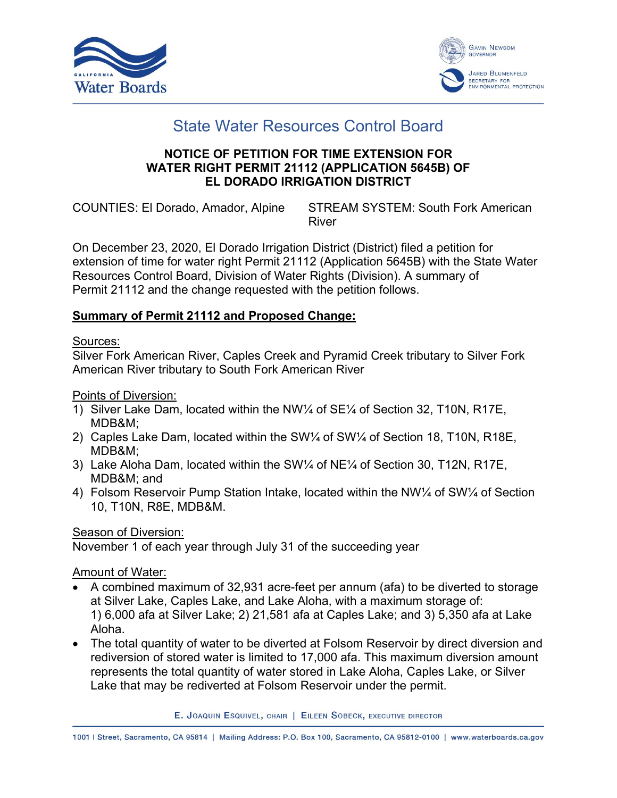



# State Water Resources Control Board

### **NOTICE OF PETITION FOR TIME EXTENSION FOR WATER RIGHT PERMIT 21112 (APPLICATION 5645B) OF EL DORADO IRRIGATION DISTRICT**

COUNTIES: El Dorado, Amador, Alpine STREAM SYSTEM: South Fork American River

On December 23, 2020, El Dorado Irrigation District (District) filed a petition for extension of time for water right Permit 21112 (Application 5645B) with the State Water Resources Control Board, Division of Water Rights (Division). A summary of Permit 21112 and the change requested with the petition follows.

# **Summary of Permit 21112 and Proposed Change:**

### Sources:

Silver Fork American River, Caples Creek and Pyramid Creek tributary to Silver Fork American River tributary to South Fork American River

Points of Diversion:

- 1) Silver Lake Dam, located within the NW¼ of SE¼ of Section 32, T10N, R17E, MDB&M;
- 2) Caples Lake Dam, located within the SW¼ of SW¼ of Section 18, T10N, R18E, MDB&M;
- 3) Lake Aloha Dam, located within the SW¼ of NE¼ of Section 30, T12N, R17E, MDB&M; and
- 4) Folsom Reservoir Pump Station Intake, located within the NW¼ of SW¼ of Section 10, T10N, R8E, MDB&M.

Season of Diversion:

November 1 of each year through July 31 of the succeeding year

Amount of Water:

- · A combined maximum of 32,931 acre-feet per annum (afa) to be diverted to storage at Silver Lake, Caples Lake, and Lake Aloha, with a maximum storage of: 1) 6,000 afa at Silver Lake; 2) 21,581 afa at Caples Lake; and 3) 5,350 afa at Lake Aloha.
- · The total quantity of water to be diverted at Folsom Reservoir by direct diversion and rediversion of stored water is limited to 17,000 afa. This maximum diversion amount represents the total quantity of water stored in Lake Aloha, Caples Lake, or Silver Lake that may be rediverted at Folsom Reservoir under the permit.

E. JOAQUIN ESQUIVEL, CHAIR | EILEEN SOBECK, EXECUTIVE DIRECTOR

1001 | Street, Sacramento, CA 95814 | Mailing Address: P.O. Box 100, Sacramento, CA 95812-0100 | www.waterboards.ca.gov